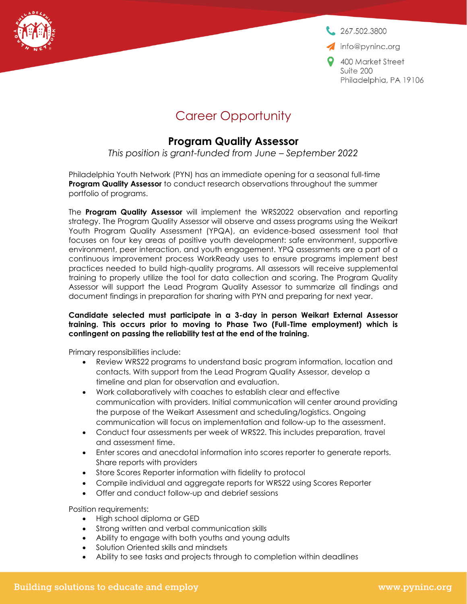267,502,3800

info@pyninc.org

400 Market Street Suite 200 Philadelphia, PA 19106

## Career Opportunity

## **Program Quality Assessor**

*This position is grant-funded from June – September 2022*

Philadelphia Youth Network (PYN) has an immediate opening for a seasonal full-time **Program Quality Assessor** to conduct research observations throughout the summer portfolio of programs.

The **Program Quality Assessor** will implement the WRS2022 observation and reporting strategy. The Program Quality Assessor will observe and assess programs using the Weikart Youth Program Quality Assessment (YPQA), an evidence-based assessment tool that focuses on four key areas of positive youth development: safe environment, supportive environment, peer interaction, and youth engagement. YPQ assessments are a part of a continuous improvement process WorkReady uses to ensure programs implement best practices needed to build high-quality programs. All assessors will receive supplemental training to properly utilize the tool for data collection and scoring. The Program Quality Assessor will support the Lead Program Quality Assessor to summarize all findings and document findings in preparation for sharing with PYN and preparing for next year.

## **Candidate selected must participate in a 3-day in person Weikart External Assessor training. This occurs prior to moving to Phase Two (Full-Time employment) which is contingent on passing the reliability test at the end of the training.**

Primary responsibilities include:

- Review WRS22 programs to understand basic program information, location and contacts. With support from the Lead Program Quality Assessor, develop a timeline and plan for observation and evaluation.
- Work collaboratively with coaches to establish clear and effective communication with providers. Initial communication will center around providing the purpose of the Weikart Assessment and scheduling/logistics. Ongoing communication will focus on implementation and follow-up to the assessment.
- Conduct four assessments per week of WRS22. This includes preparation, travel and assessment time.
- Enter scores and anecdotal information into scores reporter to generate reports. Share reports with providers
- Store Scores Reporter information with fidelity to protocol
- Compile individual and aggregate reports for WRS22 using Scores Reporter
- Offer and conduct follow-up and debrief sessions

Position requirements:

- High school diploma or GED
- Strong written and verbal communication skills
- Ability to engage with both youths and young adults
- Solution Oriented skills and mindsets
- Ability to see tasks and projects through to completion within deadlines